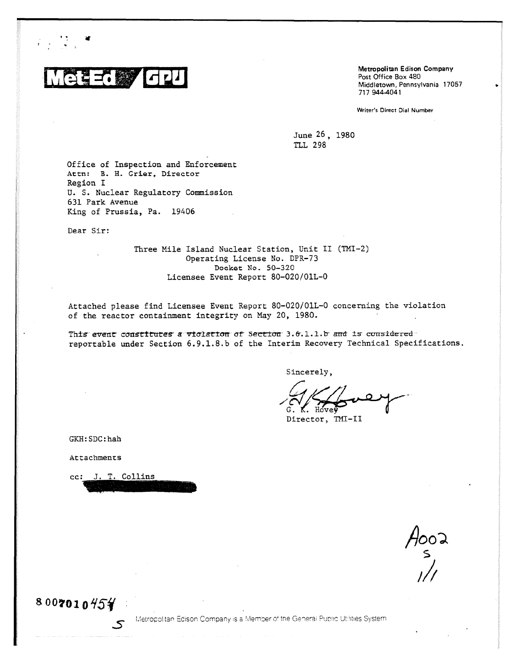

Metropolitan Edison Company Post Office Box 480 Middletown, Pennsylvania 17057 717 9444041

Writer's Direct Dial Number

June 26, 1980 TLL 298

Office of Inspection and Enforcement Attn: B. H. Grier, Director Region I U. S. Nuclear Regulatory Commission 631 Park Avenue King of Prussia, Pa. 19406

Dear Sir:

Three Mile Island Nuclear Station, Unit II (TMI-2) Operating License No. DPR-73 Docket No. 50- 320 Licensee Event Report 80-020/01L-0

Attached please find Licensee Event Report 80-020/01L-0 concerning the violation of the reactor containment integrity on May 20, 1980.

This event constitutes a violation of Section 3.6.1.1.b and is considered reportable under Section 6.9.1.8.b of the Interim Recovery Technical Specifications.

Sincerely,

K. Hove

Director, TMI-II

GKH:SDC:hah

Attachments

cc: J. T. Collins

5

 $\frac{1}{2}$ //1

 $8007010454$ 

Metropolitan Edison Company is a Member of the General Public Utilities System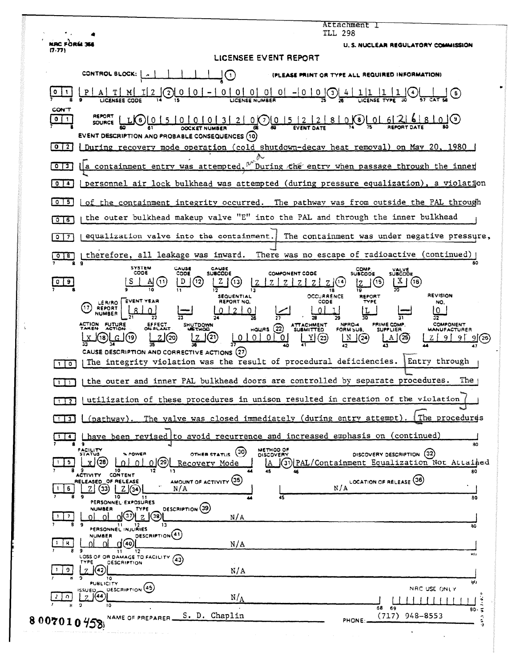|                                    | Attachment I<br>TLL 298                                                                                                                                                                                                                                                         |
|------------------------------------|---------------------------------------------------------------------------------------------------------------------------------------------------------------------------------------------------------------------------------------------------------------------------------|
| NAC FÒRM 36<br>(7.77)              | U. S. NUCLEAR REGULATORY COMMISSION                                                                                                                                                                                                                                             |
|                                    | LICENSEE EVENT REPORT                                                                                                                                                                                                                                                           |
|                                    | CONTROL BLOCK:<br>(PLEASE PRINT OR TYPE ALL REQUIRED INFORMATION)<br>$\left( 1\right)$                                                                                                                                                                                          |
| 0                                  | 0<br>0 0 <br>01 01 -1<br>0<br>$\mathbf{0}$<br>$\binom{3}{3}$<br><b>LICENSE NUMBER</b>                                                                                                                                                                                           |
| <b>CON'T</b><br>$0$   1<br>  0   2 | <u>0(7)01</u><br>5 <sup>1</sup><br>( ၁ )<br>2 <sup>1</sup><br><b>EVENT DESCRIPTION AND PROBABLE CONSEQUENCES (10)</b><br>During recovery mode operation (cold shutdown-decay heat removal) on May 20, 1980                                                                      |
| $0 \mid 3$                         | During the entry when passage through the inner<br>a containment entry was attempted.                                                                                                                                                                                           |
|                                    |                                                                                                                                                                                                                                                                                 |
| 0/4                                | personnel air lock bulkhead was attempted (during pressure equalization), a violation                                                                                                                                                                                           |
| $0$   5 $\overline{)}$             | of the containment integrity occurred. The pathway was from outside the PAL through                                                                                                                                                                                             |
| 0 <sub>16</sub>                    | the outer bulkhead makeup valve "E" into the PAL and through the inner bulkhead                                                                                                                                                                                                 |
| $\bullet$<br>7                     | equalization valve into the containment.<br>The containment was under negative pressure,                                                                                                                                                                                        |
|                                    | There was no escape of radioactive (continued)<br>therefore, all leakage was inward.<br>80                                                                                                                                                                                      |
| 0 <sup>19</sup>                    | <b>SYSTEM</b><br>CAUSE<br>CAUSE<br><b>COMP</b><br>VALVE<br>SUBCODE<br>CODE<br>CODE<br><b>SUBCODE</b><br><b>COMPONENT CODE</b><br><b>SUBCODE</b><br>D<br>$\mathbf{X}$<br>(11)<br>$^{(12)}$<br>(16)<br>(13,<br>18<br><b>REVISION</b><br>OCCURRENCE<br><b>SEQUENTIAL</b><br>REPORT |
|                                    | <b>EVENT YEAR</b><br>REPORT NO.<br>CODE<br>TYPE<br>LER/RO<br>NO.<br>17<br>REPORT<br>0<br>NUMBER<br>32<br><b>ACTION FUTURE</b><br>PRIME COMP.<br>EFFECT<br>ON PLANT<br>SHUTDOWN<br><b>COMPONENT</b><br><b>NPRO-4</b><br><b>ATTACHMENT</b>                                        |
|                                    | HQUBS (22)<br><b>SUBMITTED</b><br><b>METHOD</b><br>FORM SUB.<br><b>SUPPLIER</b><br><b>MANUFACTURER</b><br>(20<br>0<br>(23)<br>N<br>  19<br>.O.I<br>(24)<br>-01<br>(25<br>CAUSE DESCRIPTION AND CORRECTIVE ACTIONS (27)                                                          |
| $1$ $0$                            | The integrity violation was the result of procedural deficiencies.<br>Entry through                                                                                                                                                                                             |
| 111                                | The<br>the outer and inner PAL bulkhead doors are controlled by separate procedures.                                                                                                                                                                                            |
| $\overline{1}$ $\overline{2}$      | utilization of these procedures in unison resulted in creation of the violation                                                                                                                                                                                                 |
| $1$ 3                              | The procedures<br>The valve was closed immediately (during entry attempt).<br><u>(pathway).</u>                                                                                                                                                                                 |
| $\overline{\phantom{a}}$           | have been revised to avoid recurrence and increased emphasis on (continued)<br>9<br>80                                                                                                                                                                                          |
| 5.                                 | METHOD OF<br>FACILITY<br>STATUS<br>(30)<br>DISCOVERY DESCRIPTION (32)<br><b>X POWER</b><br><b>OTHER STATUS</b><br>(28<br>(31) PAL/Containment Equalization Not Attained<br>(29)<br>n.<br>Recovery Mode<br>$\Omega$<br>10<br>80<br>45<br>CONTENT<br>ACTIVITY                     |
| 6                                  | LOCATION OF RELEASE (36)<br>AMOUNT OF ACTIVITY (35)<br>RELEASED OF RELEASE<br>N/A<br>N/A<br>[33]<br>10<br>45<br>80<br>11<br>PERSONNEL EXPOSURES                                                                                                                                 |
| 7                                  | <b>DESCRIPTION</b> (39)<br><b>NUMBER</b><br>TYPE<br>O(37)<br>(38)<br>N/A<br>11.<br>13<br>12<br>80<br>PERSONNEL INJURIES                                                                                                                                                         |
| 8.                                 | DESCRIPTION <sup>(41)</sup><br><b>NUMBER</b><br>N/A<br>40)<br>9<br>12<br>kł i<br>LOSS OF OR DAMAGE TO FACILITY<br>(43)                                                                                                                                                          |
| 9.                                 | <b>DESCRIPTION</b><br>TYPE<br>N/A<br>42<br>10<br>is()<br><b>PUBLICITY</b>                                                                                                                                                                                                       |
|                                    | DESCRIPTION (45)<br>NRC USE ONLY<br><b>ISSUED</b><br> (44)<br>N/A                                                                                                                                                                                                               |
| $\Omega$                           | $\ddot{ }$<br>10                                                                                                                                                                                                                                                                |

ŀ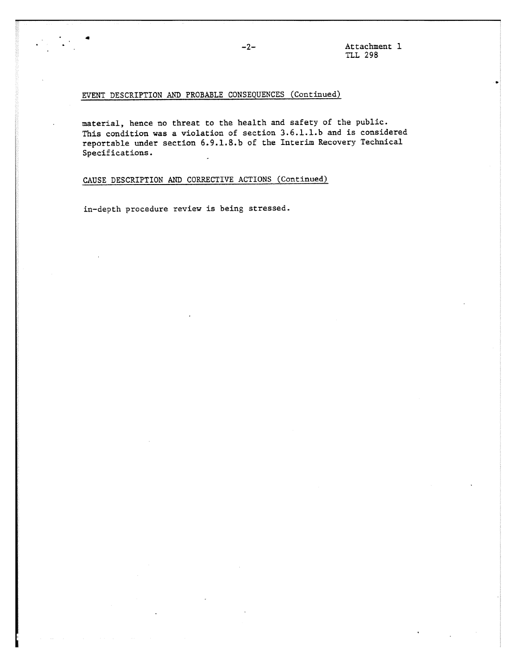### EVENT DESCRIPTION AND PROBABLE CONSEQUENCES (Continued)

material, hence no threat to the health and safety of the public. This condition was a violation of section 3.6.1.1.b and is considered reportable under section 6.9.1.8.b of the Interim Recovery Technical Specifications.

# CAUSE DESCRIPTION AND CORRECTIVE ACTIONS (Continued)

in-depth procedure review is being stressed.

 $\sim$   $^{\circ}$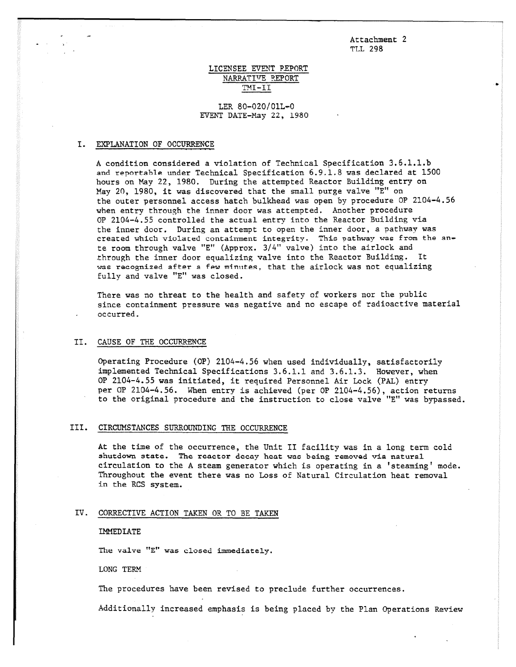Attachment 2 TLI, 298

### LICENSEE EVENT REPORT NARRATIvE REPORT TMI -II

### LER 80-020/01L-0 EVENT DATE-May 22, 1980

### I. EXPLANATION OF OCCURRENCE

A condition considered a violation of Technical Specification 3.6.1.1.b and reportable under Technical Specification 6.9.1.8 was declared at 1500 hours on May 22, 1980. During the attempted Reactor Building entry on May 20, 1980, it was discovered that the small purge valve "E" on the outer personnel access hatch bulkhead was open by procedure OP 2104-4.56 when entry through the inner door was attempted. Another procedure OP 2104-4.55 controlled the actual entry into the Reactor Building via the inner door. During an attempt to open the inner door, a pathway was created which violated containment integrity. This pathway was from the ante room through valve "E" (Approx. 3/4" valve) into the airlock and through the inner door equalizing valve into the Reactor Building. It was recognized after a few minutes, that the airlock was not equalizing fully and valve "E" was closed.

There was no threat to the health and safety of workers nor the public since containment pressure was negative and no escape of radioactive material occurred.

### II. CAUSE OF THE OCCURRENCE

Operating Procedure (OP) 2104-4.56 when used individually, satisfactorily implemented Technical Specifications 3.6.1.1 and 3.6.1.3. However, when OP 2104-4.55 was initiated, it required Personnel Air Lock (PAL) entry per OP 2104-4.56. When entry is achieved (per OP 2104-4.56), action returns to the original procedure and the instruction to close valve "E" was bypassed.

### III. CIRCUMSTANCES SURROUNDING THE OCCURRENCE

At the time of the occurrence, the Unit II facility was in a long term cold shutdown state. The reactor decay heat was being removed via natural circulation to the A steam generator which is operating in a 'steaming' mode. Throughout the event there was no Loss of Natural Circulation heat removal in the RCS system.

### IV. CORRECTIVE ACTION TAKEN OR TO BE TAKEN

#### IMMEDIATE

The valve "E" was closed immediately.

LONG TERM

The procedures have been revised to preclude further occurrences.

Additionally increased emphasis is being placed by the Plan Operations Review